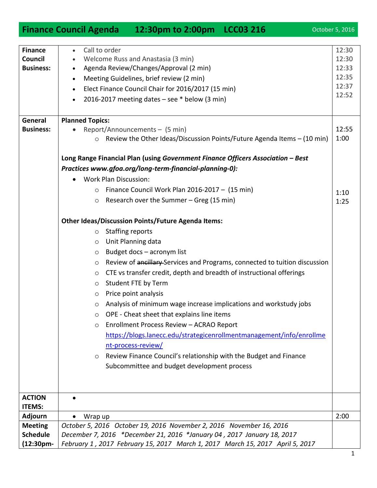|                                | <b>Finance Council Agenda</b>                                                                                                                                              |               | 12:30pm to 2:00pm LCC03 216                                            |                                                                               | October 5, 2016 |  |
|--------------------------------|----------------------------------------------------------------------------------------------------------------------------------------------------------------------------|---------------|------------------------------------------------------------------------|-------------------------------------------------------------------------------|-----------------|--|
|                                |                                                                                                                                                                            |               |                                                                        |                                                                               |                 |  |
| <b>Finance</b>                 | $\bullet$                                                                                                                                                                  | Call to order |                                                                        |                                                                               | 12:30           |  |
| Council                        |                                                                                                                                                                            |               | Welcome Russ and Anastasia (3 min)                                     |                                                                               | 12:30<br>12:33  |  |
| <b>Business:</b>               | Agenda Review/Changes/Approval (2 min)<br>$\bullet$                                                                                                                        |               |                                                                        |                                                                               |                 |  |
|                                | $\bullet$                                                                                                                                                                  |               | Meeting Guidelines, brief review (2 min)                               |                                                                               | 12:35           |  |
|                                | Elect Finance Council Chair for 2016/2017 (15 min)<br>$\bullet$                                                                                                            |               |                                                                        |                                                                               | 12:37<br>12:52  |  |
|                                | 2016-2017 meeting dates - see * below (3 min)<br>$\bullet$                                                                                                                 |               |                                                                        |                                                                               |                 |  |
|                                |                                                                                                                                                                            |               |                                                                        |                                                                               |                 |  |
| General                        | <b>Planned Topics:</b>                                                                                                                                                     |               |                                                                        |                                                                               |                 |  |
| <b>Business:</b>               |                                                                                                                                                                            |               | Report/Announcements - (5 min)                                         |                                                                               | 12:55           |  |
|                                |                                                                                                                                                                            | $\circ$       |                                                                        | Review the Other Ideas/Discussion Points/Future Agenda Items - (10 min)       | 1:00            |  |
|                                | Long Range Financial Plan (using Government Finance Officers Association - Best<br>Practices www.gfoa.org/long-term-financial-planning-0):<br><b>Work Plan Discussion:</b> |               |                                                                        |                                                                               |                 |  |
|                                |                                                                                                                                                                            |               |                                                                        |                                                                               |                 |  |
|                                |                                                                                                                                                                            |               |                                                                        |                                                                               |                 |  |
|                                |                                                                                                                                                                            | $\circ$       | Finance Council Work Plan 2016-2017 - (15 min)                         |                                                                               | 1:10            |  |
|                                |                                                                                                                                                                            | $\circ$       | Research over the Summer - Greg (15 min)                               |                                                                               | 1:25            |  |
|                                |                                                                                                                                                                            |               |                                                                        |                                                                               |                 |  |
|                                | <b>Other Ideas/Discussion Points/Future Agenda Items:</b>                                                                                                                  |               |                                                                        |                                                                               |                 |  |
|                                | <b>Staffing reports</b><br>$\circ$                                                                                                                                         |               |                                                                        |                                                                               |                 |  |
|                                |                                                                                                                                                                            | $\circ$       | Unit Planning data                                                     |                                                                               |                 |  |
|                                |                                                                                                                                                                            | $\circ$       | Budget docs - acronym list                                             |                                                                               |                 |  |
|                                |                                                                                                                                                                            | $\circ$       |                                                                        | Review of ancillary-Services and Programs, connected to tuition discussion    |                 |  |
|                                |                                                                                                                                                                            | $\circ$       | CTE vs transfer credit, depth and breadth of instructional offerings   |                                                                               |                 |  |
|                                |                                                                                                                                                                            | $\circ$       | Student FTE by Term                                                    |                                                                               |                 |  |
|                                |                                                                                                                                                                            | $\circ$       | Price point analysis                                                   |                                                                               |                 |  |
|                                |                                                                                                                                                                            | O             |                                                                        | Analysis of minimum wage increase implications and workstudy jobs             |                 |  |
|                                |                                                                                                                                                                            | $\circ$       | OPE - Cheat sheet that explains line items                             |                                                                               |                 |  |
|                                |                                                                                                                                                                            | $\circ$       | Enrollment Process Review - ACRAO Report                               |                                                                               |                 |  |
|                                |                                                                                                                                                                            |               |                                                                        | https://blogs.lanecc.edu/strategicenrollmentmanagement/info/enrollme          |                 |  |
|                                |                                                                                                                                                                            |               | nt-process-review/                                                     |                                                                               |                 |  |
|                                |                                                                                                                                                                            | $\circ$       | Review Finance Council's relationship with the Budget and Finance      |                                                                               |                 |  |
|                                |                                                                                                                                                                            |               | Subcommittee and budget development process                            |                                                                               |                 |  |
|                                |                                                                                                                                                                            |               |                                                                        |                                                                               |                 |  |
|                                |                                                                                                                                                                            |               |                                                                        |                                                                               |                 |  |
| <b>ACTION</b><br><b>ITEMS:</b> | $\bullet$                                                                                                                                                                  |               |                                                                        |                                                                               |                 |  |
| <b>Adjourn</b>                 | $\bullet$                                                                                                                                                                  | Wrap up       |                                                                        |                                                                               | 2:00            |  |
| <b>Meeting</b>                 |                                                                                                                                                                            |               | October 5, 2016 October 19, 2016 November 2, 2016 November 16, 2016    |                                                                               |                 |  |
| <b>Schedule</b>                |                                                                                                                                                                            |               | December 7, 2016 *December 21, 2016 *January 04, 2017 January 18, 2017 |                                                                               |                 |  |
| (12:30pm-                      |                                                                                                                                                                            |               |                                                                        | February 1, 2017 February 15, 2017 March 1, 2017 March 15, 2017 April 5, 2017 |                 |  |